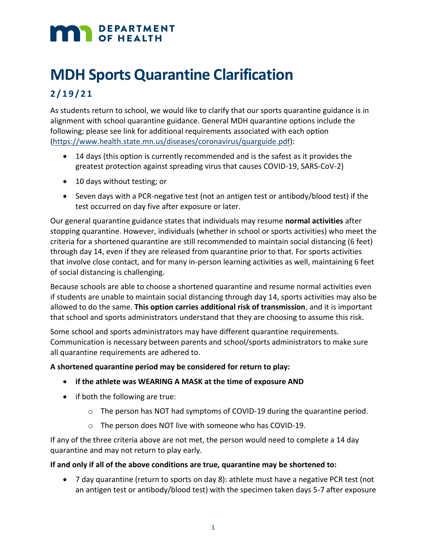# **MAN** DEPARTMENT

# **MDH Sports Quarantine Clarification**

## **2 / 1 9 /21**

As students return to school, we would like to clarify that our sports quarantine guidance is in alignment with school quarantine guidance. General MDH quarantine options include the following; please see link for additional requirements associated with each option (https://www.health.state.mn.us/diseases/coronavirus/quarguide.pdf):

- 14 days (this option is currently recommended and is the safest as it provides the greatest protection against spreading virus that causes COVID-19, SARS-CoV-2)
- 10 days without testing; or
- Seven days with a PCR-negative test (not an antigen test or antibody/blood test) if the test occurred on day five after exposure or later.

Our general quarantine guidance states that individuals may resume **normal activities** after stopping quarantine. However, individuals (whether in school or sports activities) who meet the criteria for a shortened quarantine are still recommended to maintain social distancing (6 feet) through day 14, even if they are released from quarantine prior to that. For sports activities that involve close contact, and for many in-person learning activities as well, maintaining 6 feet of social distancing is challenging.

Because schools are able to choose a shortened quarantine and resume normal activities even if students are unable to maintain social distancing through day 14, sports activities may also be allowed to do the same. **This option carries additional risk of transmission**, and it is important that school and sports administrators understand that they are choosing to assume this risk.

Some school and sports administrators may have different quarantine requirements. Communication is necessary between parents and school/sports administrators to make sure all quarantine requirements are adhered to.

### **A shortened quarantine period may be considered for return to play:**

- **if the athlete was WEARING A MASK at the time of exposure AND**
- if both the following are true:
	- o The person has NOT had symptoms of COVID-19 during the quarantine period.
	- o The person does NOT live with someone who has COVID-19.

If any of the three criteria above are not met, the person would need to complete a 14 day quarantine and may not return to play early.

### **If and only if all of the above conditions are true, quarantine may be shortened to:**

• 7 day quarantine (return to sports on day 8): athlete must have a negative PCR test (not an antigen test or antibody/blood test) with the specimen taken days 5-7 after exposure